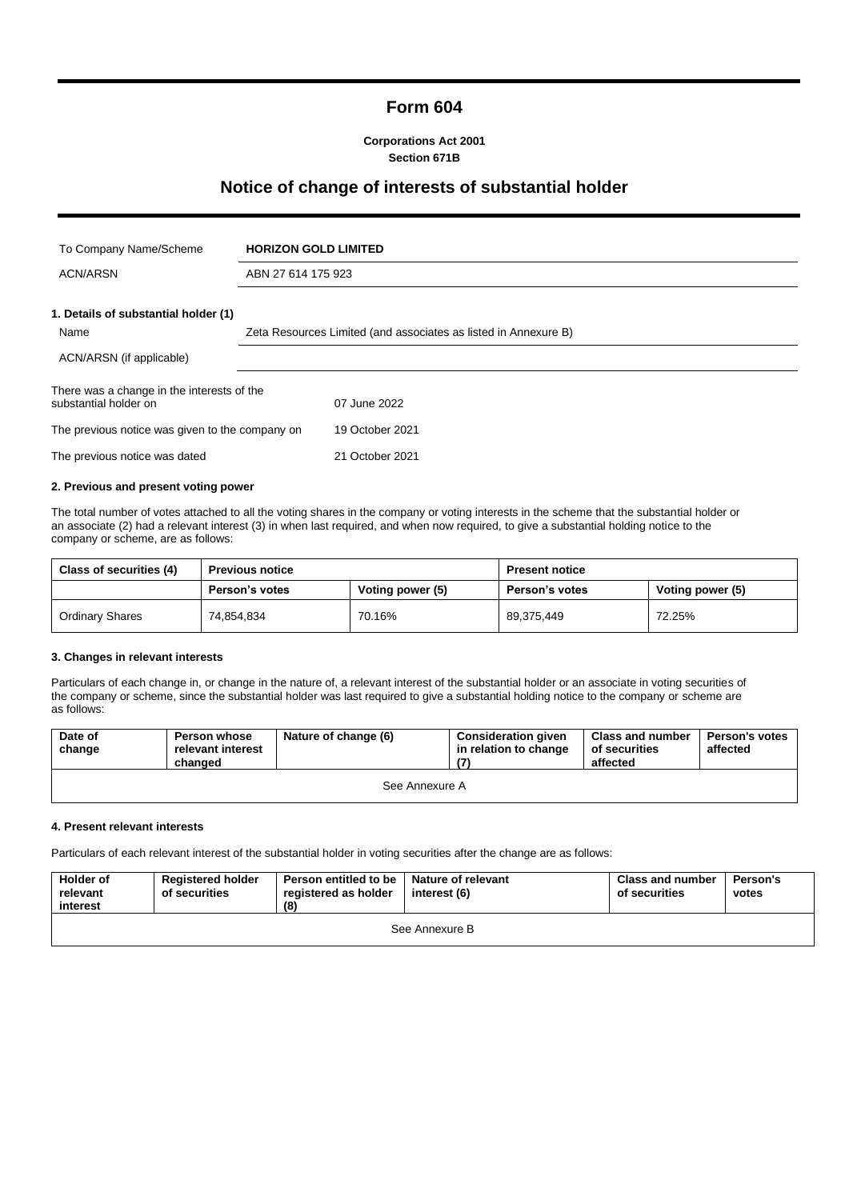# **Form 604**

**Corporations Act 2001 Section 671B**

# **Notice of change of interests of substantial holder**

| To Company Name/Scheme                                              | <b>HORIZON GOLD LIMITED</b> |                                                                 |  |  |  |
|---------------------------------------------------------------------|-----------------------------|-----------------------------------------------------------------|--|--|--|
| <b>ACN/ARSN</b>                                                     |                             | ABN 27 614 175 923                                              |  |  |  |
| 1. Details of substantial holder (1)                                |                             |                                                                 |  |  |  |
| Name                                                                |                             | Zeta Resources Limited (and associates as listed in Annexure B) |  |  |  |
| ACN/ARSN (if applicable)                                            |                             |                                                                 |  |  |  |
| There was a change in the interests of the<br>substantial holder on |                             | 07 June 2022                                                    |  |  |  |
| The previous notice was given to the company on                     |                             | 19 October 2021                                                 |  |  |  |
| The previous notice was dated                                       |                             | 21 October 2021                                                 |  |  |  |
|                                                                     |                             |                                                                 |  |  |  |

#### **2. Previous and present voting power**

The total number of votes attached to all the voting shares in the company or voting interests in the scheme that the substantial holder or an associate (2) had a relevant interest (3) in when last required, and when now required, to give a substantial holding notice to the company or scheme, are as follows:

| Class of securities (4) | <b>Previous notice</b>             |        | <b>Present notice</b> |                  |
|-------------------------|------------------------------------|--------|-----------------------|------------------|
|                         | Voting power (5)<br>Person's votes |        | <b>Person's votes</b> | Voting power (5) |
| <b>Ordinary Shares</b>  | 74.854.834                         | 70.16% | 89,375,449            | 72.25%           |

#### **3. Changes in relevant interests**

Particulars of each change in, or change in the nature of, a relevant interest of the substantial holder or an associate in voting securities of the company or scheme, since the substantial holder was last required to give a substantial holding notice to the company or scheme are as follows:

| Date of<br>change | <b>Person whose</b><br>relevant interest<br>changed | Nature of change (6) | <b>Consideration given</b><br>in relation to change | <b>Class and number</b><br>of securities<br>affected | <b>Person's votes</b><br>affected |  |  |
|-------------------|-----------------------------------------------------|----------------------|-----------------------------------------------------|------------------------------------------------------|-----------------------------------|--|--|
| See Annexure A    |                                                     |                      |                                                     |                                                      |                                   |  |  |

#### **4. Present relevant interests**

Particulars of each relevant interest of the substantial holder in voting securities after the change are as follows:

| <b>Holder of</b><br>relevant<br>interest | <b>Registered holder</b><br>of securities | Person entitled to be<br>registered as holder<br>(8) | <b>Nature of relevant</b><br>interest (6) | <b>Class and number</b><br>of securities | Person's<br>votes |  |  |
|------------------------------------------|-------------------------------------------|------------------------------------------------------|-------------------------------------------|------------------------------------------|-------------------|--|--|
| See Annexure B                           |                                           |                                                      |                                           |                                          |                   |  |  |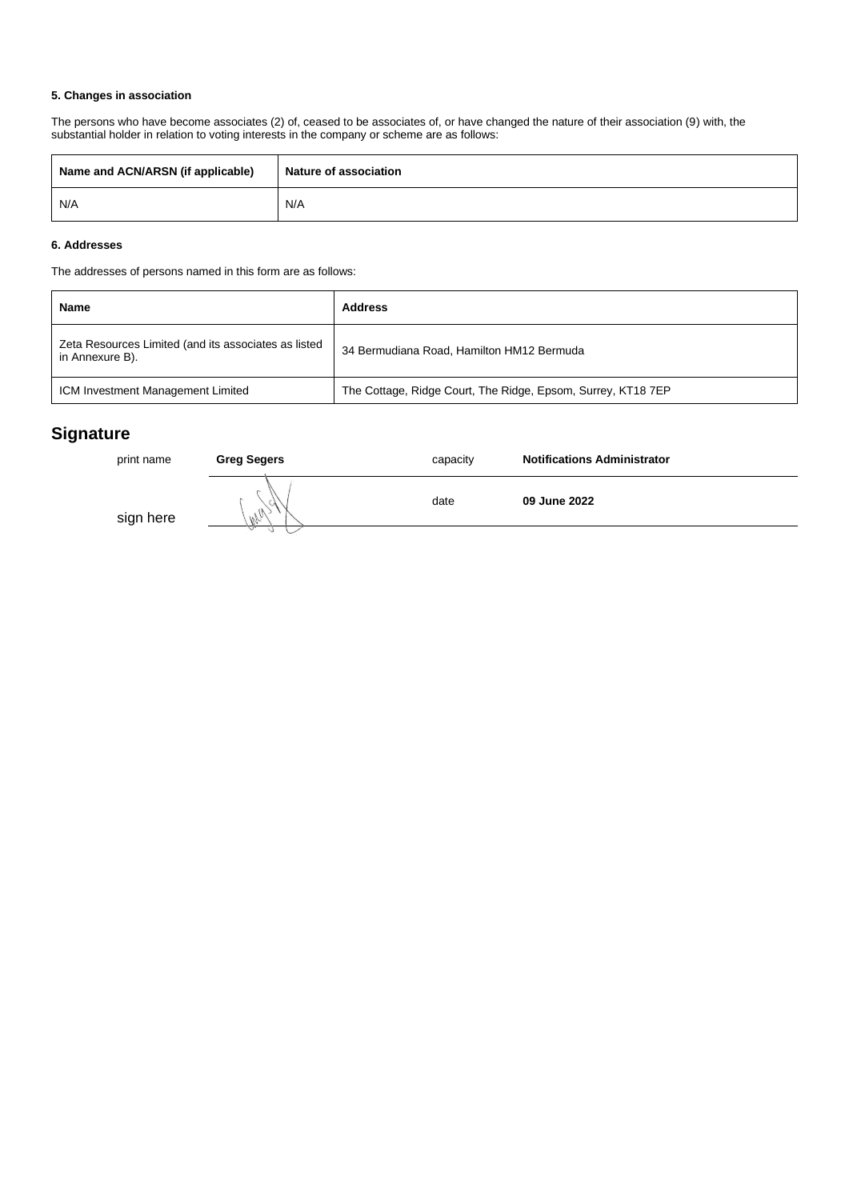#### **5. Changes in association**

The persons who have become associates (2) of, ceased to be associates of, or have changed the nature of their association (9) with, the substantial holder in relation to voting interests in the company or scheme are as follows:

| Name and ACN/ARSN (if applicable) | <b>Nature of association</b> |  |
|-----------------------------------|------------------------------|--|
| N/A                               | N/A                          |  |

### **6. Addresses**

The addresses of persons named in this form are as follows:

| Name                                                                    | <b>Address</b>                                               |
|-------------------------------------------------------------------------|--------------------------------------------------------------|
| Zeta Resources Limited (and its associates as listed<br>in Annexure B). | 34 Bermudiana Road, Hamilton HM12 Bermuda                    |
| ICM Investment Management Limited                                       | The Cottage, Ridge Court, The Ridge, Epsom, Surrey, KT18 7EP |

# **Signature**

| print name | <b>Greg Segers</b> | capacity | <b>Notifications Administrator</b> |
|------------|--------------------|----------|------------------------------------|
| sign here  | $M_{M_1}$          | date     | 09 June 2022                       |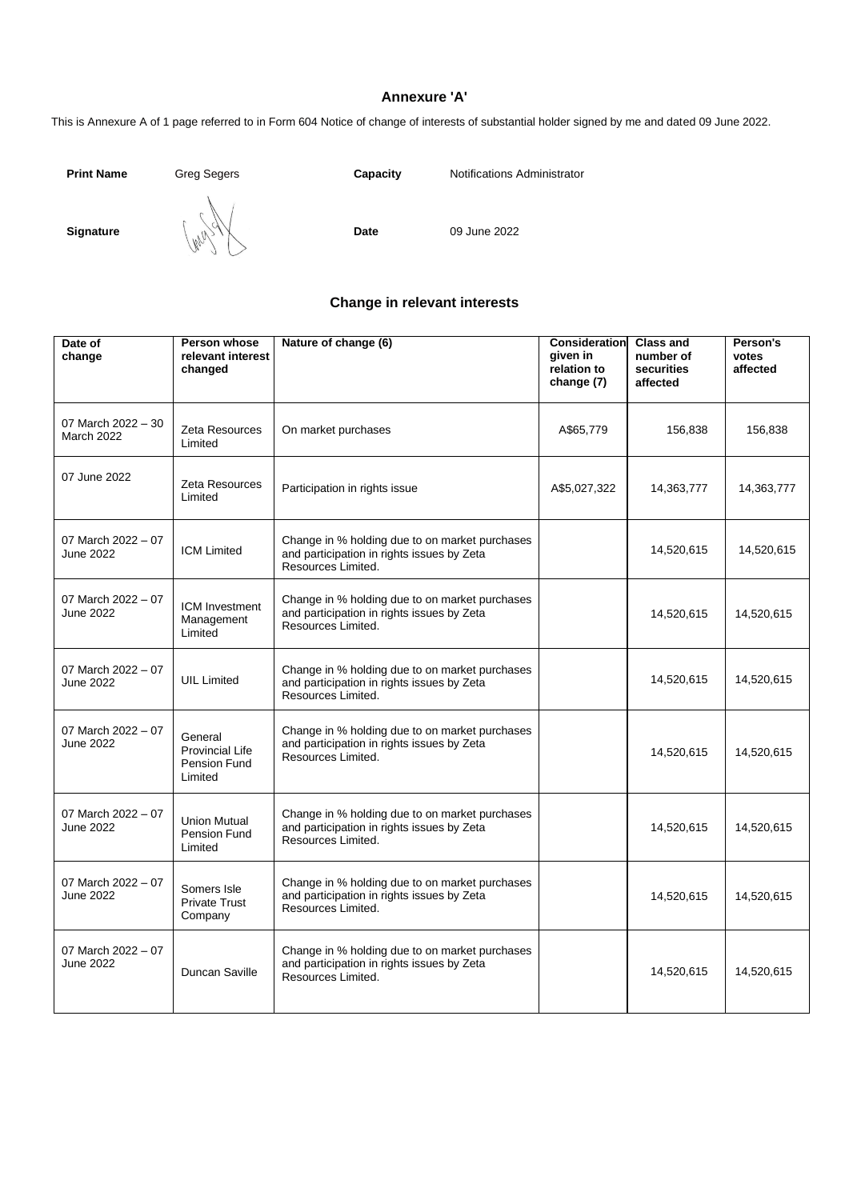## **Annexure 'A'**

This is Annexure A of 1 page referred to in Form 604 Notice of change of interests of substantial holder signed by me and dated 09 June 2022.

**Print Name** Greg Segers **Capacity** Notifications Administrator

**Signature**  $\begin{bmatrix} 1 & 0 & 0 \\ 0 & 0 & 0 \end{bmatrix}$  **Date** 09 June 2022

# **Change in relevant interests**

| Date of<br>change                       | Person whose<br>relevant interest<br>changed          | Nature of change (6)                                                                                               | Consideration<br>given in<br>relation to<br>change (7) | <b>Class and</b><br>number of<br>securities<br>affected | Person's<br>votes<br>affected |
|-----------------------------------------|-------------------------------------------------------|--------------------------------------------------------------------------------------------------------------------|--------------------------------------------------------|---------------------------------------------------------|-------------------------------|
| 07 March 2022 - 30<br><b>March 2022</b> | Zeta Resources<br>Limited                             | On market purchases                                                                                                | A\$65,779                                              | 156,838                                                 | 156,838                       |
| 07 June 2022                            | Zeta Resources<br>Limited                             | Participation in rights issue                                                                                      | A\$5,027,322                                           | 14,363,777                                              | 14,363,777                    |
| 07 March 2022 - 07<br><b>June 2022</b>  | <b>ICM Limited</b>                                    | Change in % holding due to on market purchases<br>and participation in rights issues by Zeta<br>Resources Limited. |                                                        | 14,520,615                                              | 14,520,615                    |
| 07 March 2022 - 07<br>June 2022         | ICM Investment<br>Management<br>Limited               | Change in % holding due to on market purchases<br>and participation in rights issues by Zeta<br>Resources Limited. |                                                        | 14,520,615                                              | 14,520,615                    |
| 07 March 2022 - 07<br>June 2022         | <b>UIL Limited</b>                                    | Change in % holding due to on market purchases<br>and participation in rights issues by Zeta<br>Resources Limited. |                                                        | 14,520,615                                              | 14,520,615                    |
| 07 March 2022 - 07<br>June 2022         | General<br>Provincial Life<br>Pension Fund<br>Limited | Change in % holding due to on market purchases<br>and participation in rights issues by Zeta<br>Resources Limited. |                                                        | 14,520,615                                              | 14,520,615                    |
| 07 March 2022 - 07<br>June 2022         | <b>Union Mutual</b><br>Pension Fund<br>Limited        | Change in % holding due to on market purchases<br>and participation in rights issues by Zeta<br>Resources Limited. |                                                        | 14,520,615                                              | 14,520,615                    |
| 07 March 2022 - 07<br>June 2022         | Somers Isle<br><b>Private Trust</b><br>Company        | Change in % holding due to on market purchases<br>and participation in rights issues by Zeta<br>Resources Limited. |                                                        | 14,520,615                                              | 14,520,615                    |
| 07 March 2022 - 07<br>June 2022         | Duncan Saville                                        | Change in % holding due to on market purchases<br>and participation in rights issues by Zeta<br>Resources Limited. |                                                        | 14,520,615                                              | 14,520,615                    |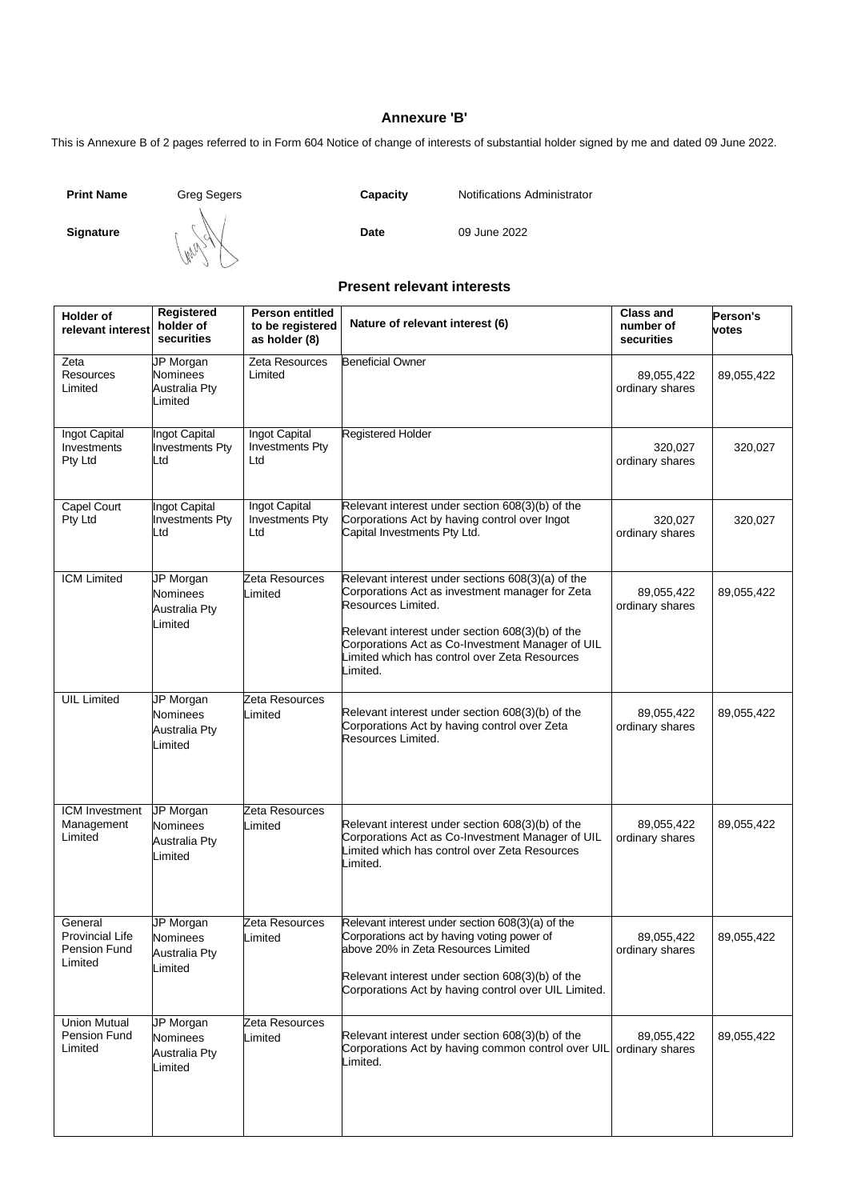# **Annexure 'B'**

This is Annexure B of 2 pages referred to in Form 604 Notice of change of interests of substantial holder signed by me and dated 09 June 2022.

**Print Name** Greg Segers **Capacity** Notifications Administrator

**Signature CONCORREGIATE: Date** 09 June 2022

**Present relevant interests**

| <b>Holder of</b><br>relevant interest                        | Registered<br>holder of<br>securities                                  | <b>Person entitled</b><br>to be registered<br>as holder (8) | Nature of relevant interest (6)                                                                                                                                                                                                                                                                 | <b>Class and</b><br>number of<br>securities | Person's<br>votes |
|--------------------------------------------------------------|------------------------------------------------------------------------|-------------------------------------------------------------|-------------------------------------------------------------------------------------------------------------------------------------------------------------------------------------------------------------------------------------------------------------------------------------------------|---------------------------------------------|-------------------|
| Zeta<br><b>Resources</b><br>Limited                          | JP Morgan<br>Nominees<br><b>Australia Pty</b><br>Limited               | Zeta Resources<br>Limited                                   | <b>Beneficial Owner</b>                                                                                                                                                                                                                                                                         | 89,055,422<br>ordinary shares               | 89,055,422        |
| Ingot Capital<br>Investments<br>Pty Ltd                      | Ingot Capital<br><b>Investments Pty</b><br>Ltd                         | Ingot Capital<br><b>Investments Pty</b><br>Ltd              | <b>Registered Holder</b>                                                                                                                                                                                                                                                                        | 320,027<br>ordinary shares                  | 320,027           |
| <b>Capel Court</b><br>Pty Ltd                                | Ingot Capital<br><b>Investments Pty</b><br>Ltd                         | Ingot Capital<br><b>Investments Pty</b><br>Ltd              | Relevant interest under section 608(3)(b) of the<br>Corporations Act by having control over Ingot<br>Capital Investments Pty Ltd.                                                                                                                                                               | 320,027<br>ordinary shares                  | 320,027           |
| <b>ICM Limited</b>                                           | JP Morgan<br>Nominees<br><b>Australia Pty</b><br>Limited               | Zeta Resources<br>Limited                                   | Relevant interest under sections 608(3)(a) of the<br>Corporations Act as investment manager for Zeta<br>Resources Limited.<br>Relevant interest under section 608(3)(b) of the<br>Corporations Act as Co-Investment Manager of UIL<br>Limited which has control over Zeta Resources<br>Limited. | 89,055,422<br>ordinary shares               | 89,055,422        |
| <b>UIL Limited</b>                                           | JP Morgan<br><b>Nominees</b><br><b>Australia Pty</b><br>Limited        | Zeta Resources<br>Limited                                   | Relevant interest under section 608(3)(b) of the<br>Corporations Act by having control over Zeta<br>Resources Limited.                                                                                                                                                                          | 89,055,422<br>ordinary shares               | 89,055,422        |
| ICM Investment<br>Management<br>Limited                      | JP Morgan<br><b>Nominees</b><br><b>Australia Pty</b><br>Limited        | Zeta Resources<br>_imited                                   | Relevant interest under section 608(3)(b) of the<br>Corporations Act as Co-Investment Manager of UIL<br>Limited which has control over Zeta Resources<br>Limited.                                                                                                                               | 89,055,422<br>ordinary shares               | 89,055,422        |
| General<br><b>Provincial Life</b><br>Pension Fund<br>Limited | <b>JP Morgan</b><br><b>Nominees</b><br><b>Australia Pty</b><br>Limited | Zeta Resources<br>_imited                                   | Relevant interest under section 608(3)(a) of the<br>Corporations act by having voting power of<br>above 20% in Zeta Resources Limited<br>Relevant interest under section 608(3)(b) of the<br>Corporations Act by having control over UIL Limited.                                               | 89,055,422<br>ordinary shares               | 89,055,422        |
| <b>Union Mutual</b><br>Pension Fund<br>Limited               | <b>JP Morgan</b><br>Nominees<br>Australia Pty<br>Limited               | Zeta Resources<br>_imited                                   | Relevant interest under section 608(3)(b) of the<br>Corporations Act by having common control over UIL<br>Limited.                                                                                                                                                                              | 89,055,422<br>ordinary shares               | 89,055,422        |